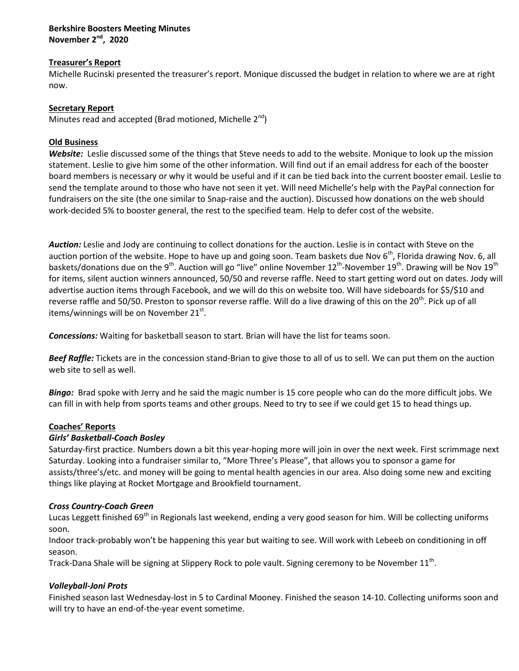## **Berkshire Boosters Meeting Minutes November 2nd, 2020**

### **Treasurer's Report**

Michelle Rucinski presented the treasurer's report. Monique discussed the budget in relation to where we are at right now.

### **Secretary Report**

Minutes read and accepted (Brad motioned, Michelle  $2^{nd}$ )

## **Old Business**

*Website:* Leslie discussed some of the things that Steve needs to add to the website. Monique to look up the mission statement. Leslie to give him some of the other information. Will find out if an email address for each of the booster board members is necessary or why it would be useful and if it can be tied back into the current booster email. Leslie to send the template around to those who have not seen it yet. Will need Michelle's help with the PayPal connection for fundraisers on the site (the one similar to Snap-raise and the auction). Discussed how donations on the web should work-decided 5% to booster general, the rest to the specified team. Help to defer cost of the website.

*Auction:* Leslie and Jody are continuing to collect donations for the auction. Leslie is in contact with Steve on the auction portion of the website. Hope to have up and going soon. Team baskets due Nov 6<sup>th</sup>, Florida drawing Nov. 6, all baskets/donations due on the 9<sup>th</sup>. Auction will go "live" online November 12<sup>th</sup>-November 19<sup>th</sup>. Drawing will be Nov 19<sup>th</sup> for items, silent auction winners announced, 50/50 and reverse raffle. Need to start getting word out on dates. Jody will advertise auction items through Facebook, and we will do this on website too. Will have sideboards for \$5/\$10 and reverse raffle and 50/50. Preston to sponsor reverse raffle. Will do a live drawing of this on the 20<sup>th</sup>. Pick up of all items/winnings will be on November 21<sup>st</sup>.

*Concessions:* Waiting for basketball season to start. Brian will have the list for teams soon.

*Beef Raffle:* Tickets are in the concession stand-Brian to give those to all of us to sell. We can put them on the auction web site to sell as well.

*Bingo:* Brad spoke with Jerry and he said the magic number is 15 core people who can do the more difficult jobs. We can fill in with help from sports teams and other groups. Need to try to see if we could get 15 to head things up.

### **Coaches' Reports**

### *Girls' Basketball-Coach Bosley*

Saturday-first practice. Numbers down a bit this year-hoping more will join in over the next week. First scrimmage next Saturday. Looking into a fundraiser similar to, "More Three's Please", that allows you to sponsor a game for assists/three's/etc. and money will be going to mental health agencies in our area. Also doing some new and exciting things like playing at Rocket Mortgage and Brookfield tournament.

### *Cross Country-Coach Green*

Lucas Leggett finished 69<sup>th</sup> in Regionals last weekend, ending a very good season for him. Will be collecting uniforms soon.

Indoor track-probably won't be happening this year but waiting to see. Will work with Lebeeb on conditioning in off season.

Track-Dana Shale will be signing at Slippery Rock to pole vault. Signing ceremony to be November 11<sup>th</sup>.

### *Volleyball-Joni Prots*

Finished season last Wednesday-lost in 5 to Cardinal Mooney. Finished the season 14-10. Collecting uniforms soon and will try to have an end-of-the-year event sometime.